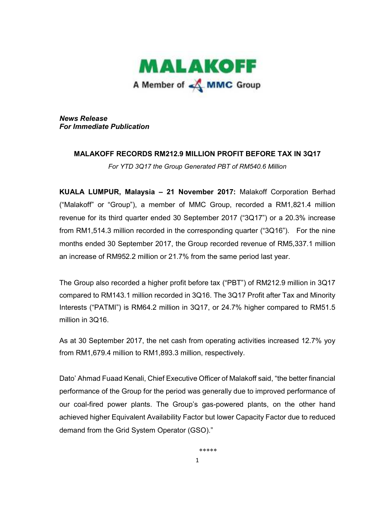

*News Release For Immediate Publication*

## **MALAKOFF RECORDS RM212.9 MILLION PROFIT BEFORE TAX IN 3Q17**

*For YTD 3Q17 the Group Generated PBT of RM540.6 Million* 

**KUALA LUMPUR, Malaysia – 21 November 2017:** Malakoff Corporation Berhad ("Malakoff" or "Group"), a member of MMC Group, recorded a RM1,821.4 million revenue for its third quarter ended 30 September 2017 ("3Q17") or a 20.3% increase from RM1,514.3 million recorded in the corresponding quarter ("3Q16"). For the nine months ended 30 September 2017, the Group recorded revenue of RM5,337.1 million an increase of RM952.2 million or 21.7% from the same period last year.

The Group also recorded a higher profit before tax ("PBT") of RM212.9 million in 3Q17 compared to RM143.1 million recorded in 3Q16. The 3Q17 Profit after Tax and Minority Interests ("PATMI") is RM64.2 million in 3Q17, or 24.7% higher compared to RM51.5 million in 3Q16.

As at 30 September 2017, the net cash from operating activities increased 12.7% yoy from RM1,679.4 million to RM1,893.3 million, respectively.

Dato' Ahmad Fuaad Kenali, Chief Executive Officer of Malakoff said, "the better financial performance of the Group for the period was generally due to improved performance of our coal-fired power plants. The Group's gas-powered plants, on the other hand achieved higher Equivalent Availability Factor but lower Capacity Factor due to reduced demand from the Grid System Operator (GSO)."

\*\*\*\*\*